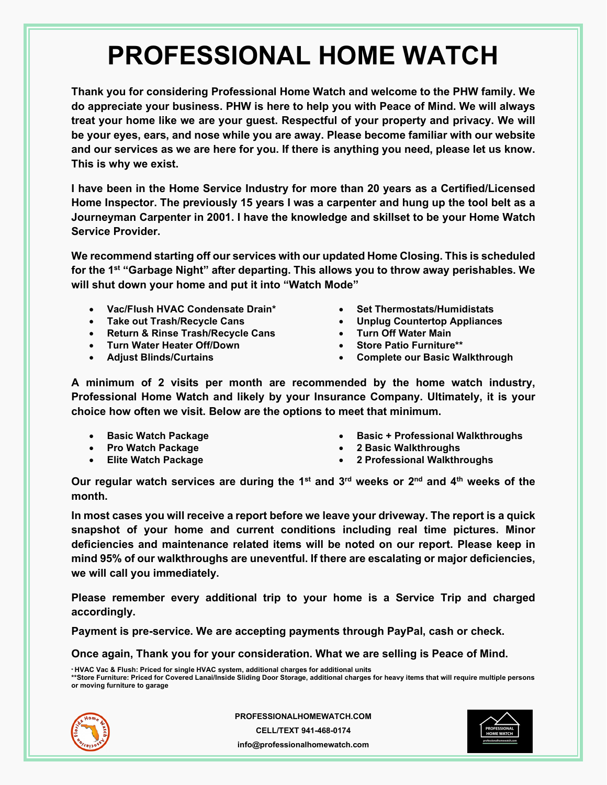**Thank you for considering Professional Home Watch and welcome to the PHW family. We do appreciate your business. PHW is here to help you with Peace of Mind. We will always treat your home like we are your guest. Respectful of your property and privacy. We will be your eyes, ears, and nose while you are away. Please become familiar with our website and our services as we are here for you. If there is anything you need, please let us know. This is why we exist.** 

**I have been in the Home Service Industry for more than 20 years as a Certified/Licensed Home Inspector. The previously 15 years I was a carpenter and hung up the tool belt as a Journeyman Carpenter in 2001. I have the knowledge and skillset to be your Home Watch Service Provider.** 

**We recommend starting off our services with our updated Home Closing. This is scheduled for the 1st "Garbage Night" after departing. This allows you to throw away perishables. We will shut down your home and put it into "Watch Mode"** 

- **Vac/Flush HVAC Condensate Drain\***
- **Take out Trash/Recycle Cans**
- **Return & Rinse Trash/Recycle Cans**
- **Turn Water Heater Off/Down**
- **Adjust Blinds/Curtains**
- **Set Thermostats/Humidistats**
- **Unplug Countertop Appliances**
- **Turn Off Water Main**
- **Store Patio Furniture\*\***
- **Complete our Basic Walkthrough**

**A minimum of 2 visits per month are recommended by the home watch industry, Professional Home Watch and likely by your Insurance Company. Ultimately, it is your choice how often we visit. Below are the options to meet that minimum.** 

- **Basic Watch Package**
- **Pro Watch Package**
- **Elite Watch Package**
- **Basic + Professional Walkthroughs**
- **2 Basic Walkthroughs**
- **2 Professional Walkthroughs**

**Our regular watch services are during the 1st and 3rd weeks or 2nd and 4th weeks of the month.** 

**In most cases you will receive a report before we leave your driveway. The report is a quick snapshot of your home and current conditions including real time pictures. Minor deficiencies and maintenance related items will be noted on our report. Please keep in mind 95% of our walkthroughs are uneventful. If there are escalating or major deficiencies, we will call you immediately.** 

**Please remember every additional trip to your home is a Service Trip and charged accordingly.** 

**Payment is pre-service. We are accepting payments through PayPal, cash or check.** 

**Once again, Thank you for your consideration. What we are selling is Peace of Mind.** 

**\* HVAC Vac & Flush: Priced for single HVAC system, additional charges for additional units \*\*Store Furniture: Priced for Covered Lanai/Inside Sliding Door Storage, additional charges for heavy items that will require multiple persons or moving furniture to garage** 



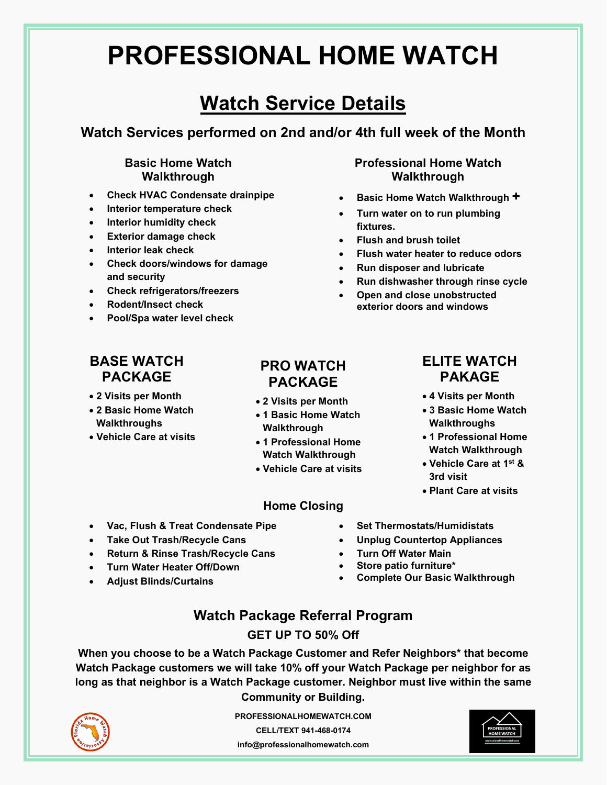## **Watch Service Details**

**Watch Services performed on 2nd and/or 4th full week of the Month**

#### **Basic Home Watch Walkthrough**

- **Check HVAC Condensate drainpipe**
- **Interior temperature check**
- **Interior humidity check**
- **Exterior damage check**
- **Interior leak check**
- **Check doors/windows for damage and security**
- **Check refrigerators/freezers**
- **Rodent/Insect check**
- **Pool/Spa water level check**

#### **Professional Home Watch Walkthrough**

- **Basic Home Watch Walkthrough +**
- **Turn water on to run plumbing fixtures.**
- **Flush and brush toilet**
- **Flush water heater to reduce odors**
- **Run disposer and lubricate**
- **Run dishwasher through rinse cycle**

**ELITE WATCH PAKAGE** 

 **4 Visits per Month 3 Basic Home Watch Walkthroughs 1 Professional Home Watch Walkthrough Vehicle Care at 1st &** 

**Plant Care at visits**

**3rd visit** 

 **Open and close unobstructed exterior doors and windows** 

### **BASE WATCH PACKAGE**

- **2 Visits per Month**
- **2 Basic Home Watch Walkthroughs**
- **Vehicle Care at visits**

### **PRO WATCH PACKAGE**

- **2 Visits per Month**
- **1 Basic Home Watch Walkthrough**
- **1 Professional Home Watch Walkthrough**
- **Vehicle Care at visits**

#### **Home Closing**

- **Vac, Flush & Treat Condensate Pipe**
- **Take Out Trash/Recycle Cans**
- **Return & Rinse Trash/Recycle Cans**
- **Turn Water Heater Off/Down**
- **Adjust Blinds/Curtains**
- **Set Thermostats/Humidistats**
- **Unplug Countertop Appliances**
- **Turn Off Water Main**
- **Store patio furniture\***
- **Complete Our Basic Walkthrough**

### **Watch Package Referral Program**

#### **GET UP TO 50% Off**

**When you choose to be a Watch Package Customer and Refer Neighbors\* that become Watch Package customers we will take 10% off your Watch Package per neighbor for as long as that neighbor is a Watch Package customer. Neighbor must live within the same Community or Building.** 



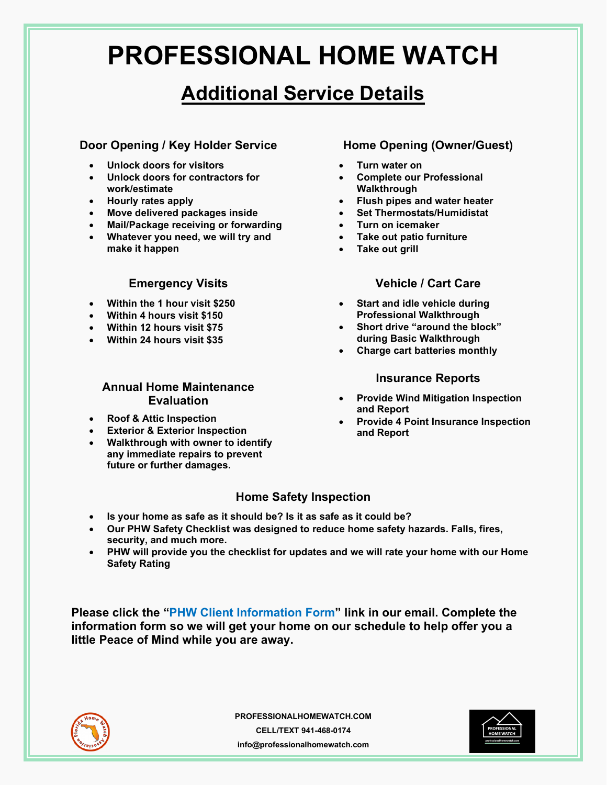## **Additional Service Details**

#### **Door Opening / Key Holder Service**

- **Unlock doors for visitors**
- **Unlock doors for contractors for work/estimate**
- **Hourly rates apply**
- **Move delivered packages inside**
- **Mail/Package receiving or forwarding**
- **Whatever you need, we will try and make it happen**

#### **Emergency Visits**

- **Within the 1 hour visit \$250**
- **Within 4 hours visit \$150**
- **Within 12 hours visit \$75**
- **Within 24 hours visit \$35**

#### **Annual Home Maintenance Evaluation**

- **Roof & Attic Inspection**
- **Exterior & Exterior Inspection**
- **Walkthrough with owner to identify any immediate repairs to prevent future or further damages.**

#### **Home Opening (Owner/Guest)**

- **Turn water on**
- **Complete our Professional Walkthrough**
- **Flush pipes and water heater**
- **Set Thermostats/Humidistat**
- **Turn on icemaker**
- **Take out patio furniture**
- **Take out grill**

#### **Vehicle / Cart Care**

- **Start and idle vehicle during Professional Walkthrough**
- **Short drive "around the block" during Basic Walkthrough**
- **Charge cart batteries monthly**

#### **Insurance Reports**

- **Provide Wind Mitigation Inspection and Report**
- **Provide 4 Point Insurance Inspection and Report**

#### **Home Safety Inspection**

- **Is your home as safe as it should be? Is it as safe as it could be?**
- **Our PHW Safety Checklist was designed to reduce home safety hazards. Falls, fires, security, and much more.**
- **PHW will provide you the checklist for updates and we will rate your home with our Home Safety Rating**

**Please click the "PHW Client Information Form" link in our email. Complete the information form so we will get your home on our schedule to help offer you a little Peace of Mind while you are away.**